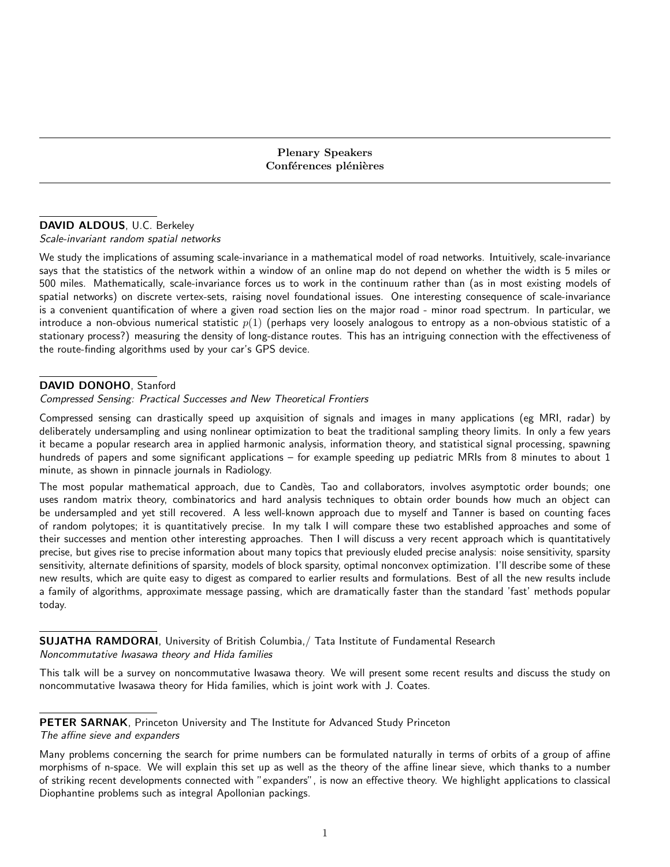Plenary Speakers Conférences plénières

### DAVID ALDOUS, U.C. Berkeley

Scale-invariant random spatial networks

We study the implications of assuming scale-invariance in a mathematical model of road networks. Intuitively, scale-invariance says that the statistics of the network within a window of an online map do not depend on whether the width is 5 miles or 500 miles. Mathematically, scale-invariance forces us to work in the continuum rather than (as in most existing models of spatial networks) on discrete vertex-sets, raising novel foundational issues. One interesting consequence of scale-invariance is a convenient quantification of where a given road section lies on the major road - minor road spectrum. In particular, we introduce a non-obvious numerical statistic  $p(1)$  (perhaps very loosely analogous to entropy as a non-obvious statistic of a stationary process?) measuring the density of long-distance routes. This has an intriguing connection with the effectiveness of the route-finding algorithms used by your car's GPS device.

## DAVID DONOHO, Stanford

Compressed Sensing: Practical Successes and New Theoretical Frontiers

Compressed sensing can drastically speed up axquisition of signals and images in many applications (eg MRI, radar) by deliberately undersampling and using nonlinear optimization to beat the traditional sampling theory limits. In only a few years it became a popular research area in applied harmonic analysis, information theory, and statistical signal processing, spawning hundreds of papers and some significant applications – for example speeding up pediatric MRIs from 8 minutes to about 1 minute, as shown in pinnacle journals in Radiology.

The most popular mathematical approach, due to Candès, Tao and collaborators, involves asymptotic order bounds; one uses random matrix theory, combinatorics and hard analysis techniques to obtain order bounds how much an object can be undersampled and yet still recovered. A less well-known approach due to myself and Tanner is based on counting faces of random polytopes; it is quantitatively precise. In my talk I will compare these two established approaches and some of their successes and mention other interesting approaches. Then I will discuss a very recent approach which is quantitatively precise, but gives rise to precise information about many topics that previously eluded precise analysis: noise sensitivity, sparsity sensitivity, alternate definitions of sparsity, models of block sparsity, optimal nonconvex optimization. I'll describe some of these new results, which are quite easy to digest as compared to earlier results and formulations. Best of all the new results include a family of algorithms, approximate message passing, which are dramatically faster than the standard 'fast' methods popular today.

SUJATHA RAMDORAI, University of British Columbia,/ Tata Institute of Fundamental Research Noncommutative Iwasawa theory and Hida families

This talk will be a survey on noncommutative Iwasawa theory. We will present some recent results and discuss the study on noncommutative Iwasawa theory for Hida families, which is joint work with J. Coates.

PETER SARNAK, Princeton University and The Institute for Advanced Study Princeton The affine sieve and expanders

Many problems concerning the search for prime numbers can be formulated naturally in terms of orbits of a group of affine morphisms of n-space. We will explain this set up as well as the theory of the affine linear sieve, which thanks to a number of striking recent developments connected with "expanders", is now an effective theory. We highlight applications to classical Diophantine problems such as integral Apollonian packings.